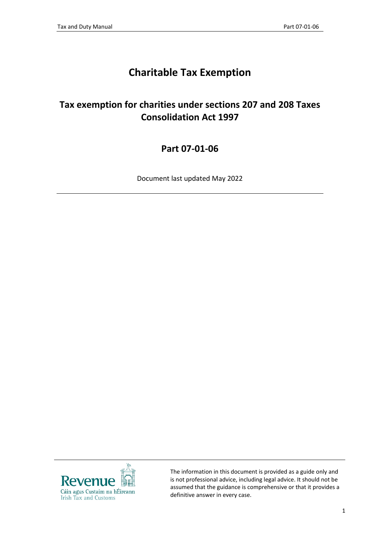# **Charitable Tax Exemption**

# **Tax exemption for charities under sections 207 and 208 Taxes Consolidation Act 1997**

## **Part 07-01-06**

Document last updated May 2022



The information in this document is provided as a guide only and is not professional advice, including legal advice. It should not be assumed that the guidance is comprehensive or that it provides a definitive answer in every case.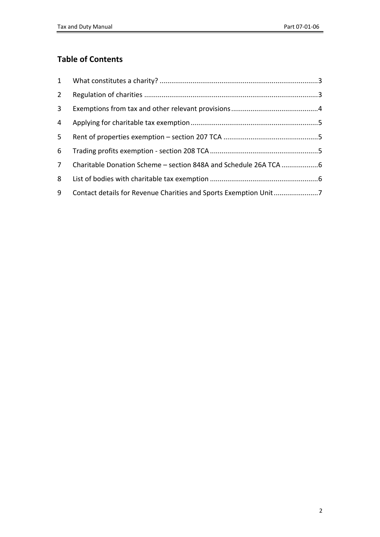#### **Table of Contents**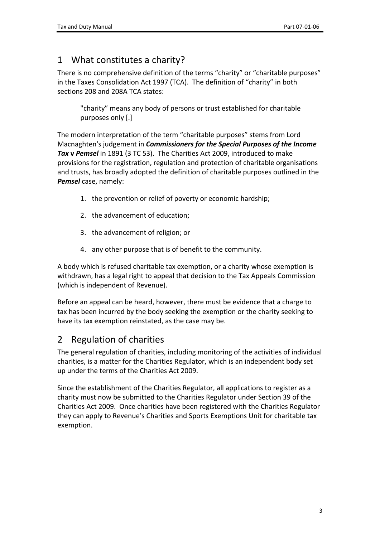### <span id="page-2-0"></span>1 What constitutes a charity?

There is no comprehensive definition of the terms "charity" or "charitable purposes" in the Taxes Consolidation Act 1997 (TCA). The definition of "charity" in both sections 208 and 208A TCA states:

"charity" means any body of persons or trust established for charitable purposes only [.]

The modern interpretation of the term "charitable purposes" stems from Lord Macnaghten's judgement in *Commissioners for the Special Purposes of the Income Tax* **v** *Pemsel* in 1891 (3 TC 53). The Charities Act 2009, introduced to make provisions for the registration, regulation and protection of charitable organisations and trusts, has broadly adopted the definition of charitable purposes outlined in the *Pemsel* case, namely:

- 1. the prevention or relief of poverty or economic hardship;
- 2. the advancement of education;
- 3. the advancement of religion; or
- 4. any other purpose that is of benefit to the community.

A body which is refused charitable tax exemption, or a charity whose exemption is withdrawn, has a legal right to appeal that decision to the Tax Appeals Commission (which is independent of Revenue).

Before an appeal can be heard, however, there must be evidence that a charge to tax has been incurred by the body seeking the exemption or the charity seeking to have its tax exemption reinstated, as the case may be.

# <span id="page-2-1"></span>2 Regulation of charities

The general regulation of charities, including monitoring of the activities of individual charities, is a matter for the Charities Regulator, which is an independent body set up under the terms of the Charities Act 2009.

Since the establishment of the Charities Regulator, all applications to register as a charity must now be submitted to the Charities Regulator under Section 39 of the Charities Act 2009. Once charities have been registered with the Charities Regulator they can apply to Revenue's Charities and Sports Exemptions Unit for charitable tax exemption.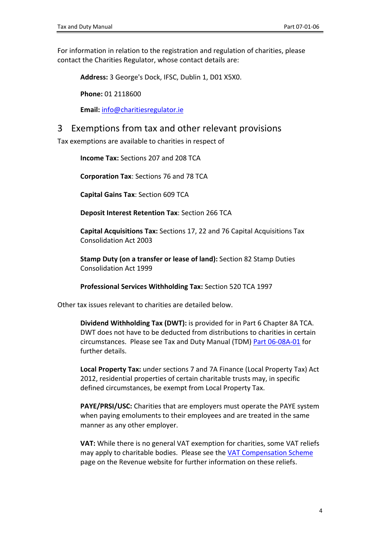For information in relation to the registration and regulation of charities, please contact the Charities Regulator, whose contact details are:

**Address:** 3 George's Dock, IFSC, Dublin 1, D01 X5X0.

**Phone:** 01 2118600

**Email:** [info@charitiesregulator.ie](mailto:info@charitiesregulator.ie)

#### <span id="page-3-0"></span>3 Exemptions from tax and other relevant provisions

Tax exemptions are available to charities in respect of

**Income Tax:** Sections 207 and 208 TCA

**Corporation Tax**: Sections 76 and 78 TCA

**Capital Gains Tax**: Section 609 TCA

**Deposit Interest Retention Tax**: Section 266 TCA

**Capital Acquisitions Tax:** Sections 17, 22 and 76 Capital Acquisitions Tax Consolidation Act 2003

**Stamp Duty (on a transfer or lease of land):** Section 82 Stamp Duties Consolidation Act 1999

**Professional Services Withholding Tax:** Section 520 TCA 1997

Other tax issues relevant to charities are detailed below.

**Dividend Withholding Tax (DWT):** is provided for in Part 6 Chapter 8A TCA. DWT does not have to be deducted from distributions to charities in certain circumstances. Please see Tax and Duty Manual (TDM) [Part](https://www.revenue.ie/en/tax-professionals/tdm/income-tax-capital-gains-tax-corporation-tax/part-06/06-08a-01.pdf) [06-08A-01](https://www.revenue.ie/en/tax-professionals/tdm/income-tax-capital-gains-tax-corporation-tax/part-06/06-08a-01.pdf) for further details.

**Local Property Tax:** under sections 7 and 7A Finance (Local Property Tax) Act 2012, residential properties of certain charitable trusts may, in specific defined circumstances, be exempt from Local Property Tax.

**PAYE/PRSI/USC:** Charities that are employers must operate the PAYE system when paying emoluments to their employees and are treated in the same manner as any other employer.

**VAT:** While there is no general VAT exemption for charities, some VAT reliefs may apply to charitable bodies. Please see the [VAT](https://www.revenue.ie/en/companies-and-charities/charities-and-sports-bodies/vat-compensation-scheme/vat-compensation-scheme-for-charities/index.aspx) [Compensation](https://www.revenue.ie/en/companies-and-charities/charities-and-sports-bodies/vat-compensation-scheme/vat-compensation-scheme-for-charities/index.aspx) [Scheme](https://www.revenue.ie/en/companies-and-charities/charities-and-sports-bodies/vat-compensation-scheme/vat-compensation-scheme-for-charities/index.aspx) page on the Revenue website for further information on these reliefs.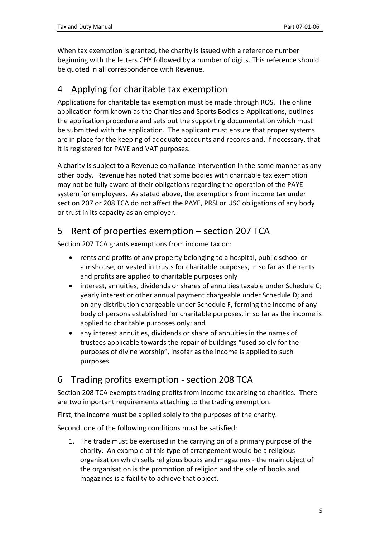When tax exemption is granted, the charity is issued with a reference number beginning with the letters CHY followed by a number of digits. This reference should be quoted in all correspondence with Revenue.

### <span id="page-4-0"></span>4 Applying for charitable tax exemption

Applications for charitable tax exemption must be made through ROS. The online application form known as the Charities and Sports Bodies e-Applications, outlines the application procedure and sets out the supporting documentation which must be submitted with the application. The applicant must ensure that proper systems are in place for the keeping of adequate accounts and records and, if necessary, that it is registered for PAYE and VAT purposes.

A charity is subject to a Revenue compliance intervention in the same manner as any other body. Revenue has noted that some bodies with charitable tax exemption may not be fully aware of their obligations regarding the operation of the PAYE system for employees. As stated above, the exemptions from income tax under section 207 or 208 TCA do not affect the PAYE, PRSI or USC obligations of any body or trust in its capacity as an employer.

### <span id="page-4-1"></span>5 Rent of properties exemption – section 207 TCA

Section 207 TCA grants exemptions from income tax on:

- rents and profits of any property belonging to a hospital, public school or almshouse, or vested in trusts for charitable purposes, in so far as the rents and profits are applied to charitable purposes only
- interest, annuities, dividends or shares of annuities taxable under Schedule C; yearly interest or other annual payment chargeable under Schedule D; and on any distribution chargeable under Schedule F, forming the income of any body of persons established for charitable purposes, in so far as the income is applied to charitable purposes only; and
- any interest annuities, dividends or share of annuities in the names of trustees applicable towards the repair of buildings "used solely for the purposes of divine worship", insofar as the income is applied to such purposes.

# <span id="page-4-2"></span>6 Trading profits exemption - section 208 TCA

Section 208 TCA exempts trading profits from income tax arising to charities. There are two important requirements attaching to the trading exemption.

First, the income must be applied solely to the purposes of the charity.

Second, one of the following conditions must be satisfied:

1. The trade must be exercised in the carrying on of a primary purpose of the charity. An example of this type of arrangement would be a religious organisation which sells religious books and magazines - the main object of the organisation is the promotion of religion and the sale of books and magazines is a facility to achieve that object.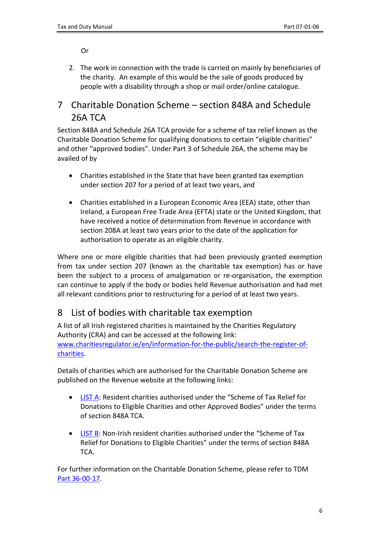Or

2. The work in connection with the trade is carried on mainly by beneficiaries of the charity. An example of this would be the sale of goods produced by people with a disability through a shop or mail order/online catalogue.

#### <span id="page-5-0"></span>7 Charitable Donation Scheme – section 848A and Schedule 26A TCA

Section 848A and Schedule 26A TCA provide for a scheme of tax relief known as the Charitable Donation Scheme for qualifying donations to certain "eligible charities" and other "approved bodies". Under Part 3 of Schedule 26A, the scheme may be availed of by

- Charities established in the State that have been granted tax exemption under section 207 for a period of at least two years, and
- Charities established in a European Economic Area (EEA) state, other than Ireland, a European Free Trade Area (EFTA) state or the United Kingdom, that have received a notice of determination from Revenue in accordance with section 208A at least two years prior to the date of the application for authorisation to operate as an eligible charity.

Where one or more eligible charities that had been previously granted exemption from tax under section 207 (known as the charitable tax exemption) has or have been the subject to a process of amalgamation or re-organisation, the exemption can continue to apply if the body or bodies held Revenue authorisation and had met all relevant conditions prior to restructuring for a period of at least two years.

### <span id="page-5-1"></span>8 List of bodies with charitable tax exemption

A list of all Irish registered charities is maintained by the Charities Regulatory Authority (CRA) and can be accessed at the following link: [www.charitiesregulator.ie/en/information-for-the-public/search-the-register-of](file:/home/alfresco/www.charitiesregulator.ie/en/information-for-the-public/search-the-register-of-charities)[charities.](file:/home/alfresco/www.charitiesregulator.ie/en/information-for-the-public/search-the-register-of-charities)

Details of charities which are authorised for the Charitable Donation Scheme are published on the Revenue website at the following links:

- [LIST](https://www.revenue.ie/en/corporate/documents/statistics/registrations/authorised-charities-resident.pdf) [A](https://www.revenue.ie/en/corporate/documents/statistics/registrations/authorised-charities-resident.pdf): Resident charities authorised under the "Scheme of Tax Relief for Donations to Eligible Charities and other Approved Bodies" under the terms of section 848A TCA.
- [LIST](https://www.revenue.ie/en/corporate/documents/statistics/registrations/authorised-charities-non-resident.pdf) [B:](https://www.revenue.ie/en/corporate/documents/statistics/registrations/authorised-charities-non-resident.pdf) Non-Irish resident charities authorised under the "Scheme of Tax Relief for Donations to Eligible Charities" under the terms of section 848A TCA.

For further information on the Charitable Donation Scheme, please refer to TDM [Part](https://www.revenue.ie/en/tax-professionals/tdm/income-tax-capital-gains-tax-corporation-tax/part-36/36-00-17.pdf) [36-00-17.](https://www.revenue.ie/en/tax-professionals/tdm/income-tax-capital-gains-tax-corporation-tax/part-36/36-00-17.pdf)